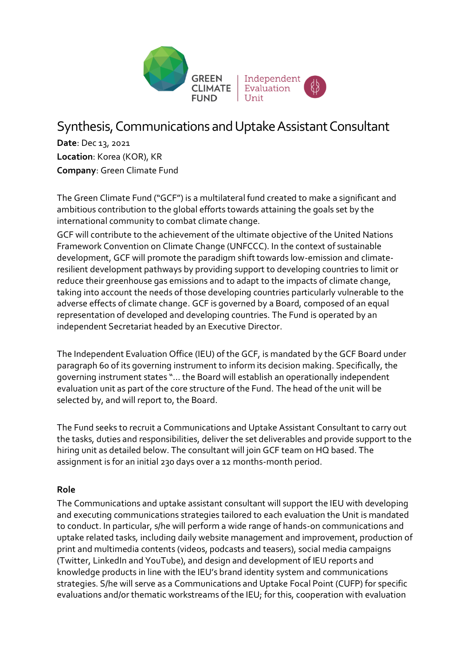

# Synthesis, Communications and Uptake Assistant Consultant

**Date**: Dec 13, 2021 **Location**: Korea (KOR), KR **Company**: Green Climate Fund

The Green Climate Fund ("GCF") is a multilateral fund created to make a significant and ambitious contribution to the global efforts towards attaining the goals set by the international community to combat climate change.

GCF will contribute to the achievement of the ultimate objective of the United Nations Framework Convention on Climate Change (UNFCCC). In the context of sustainable development, GCF will promote the paradigm shift towards low-emission and climateresilient development pathways by providing support to developing countries to limit or reduce their greenhouse gas emissions and to adapt to the impacts of climate change, taking into account the needs of those developing countries particularly vulnerable to the adverse effects of climate change. GCF is governed by a Board, composed of an equal representation of developed and developing countries. The Fund is operated by an independent Secretariat headed by an Executive Director.

The Independent Evaluation Office (IEU) of the GCF, is mandated by the GCF Board under paragraph 60 of its governing instrument to inform its decision making. Specifically, the governing instrument states "… the Board will establish an operationally independent evaluation unit as part of the core structure of the Fund. The head of the unit will be selected by, and will report to, the Board.

The Fund seeks to recruit a Communications and Uptake Assistant Consultant to carry out the tasks, duties and responsibilities, deliver the set deliverables and provide support to the hiring unit as detailed below. The consultant will join GCF team on HQ based. The assignment is for an initial 230 days over a 12 months-month period.

### **Role**

The Communications and uptake assistant consultant will support the IEU with developing and executing communications strategies tailored to each evaluation the Unit is mandated to conduct. In particular, s/he will perform a wide range of hands-on communications and uptake related tasks, including daily website management and improvement, production of print and multimedia contents (videos, podcasts and teasers), social media campaigns (Twitter, LinkedIn and YouTube), and design and development of IEU reports and knowledge products in line with the IEU's brand identity system and communications strategies. S/he will serve as a Communications and Uptake Focal Point (CUFP) for specific evaluations and/or thematic workstreams of the IEU; for this, cooperation with evaluation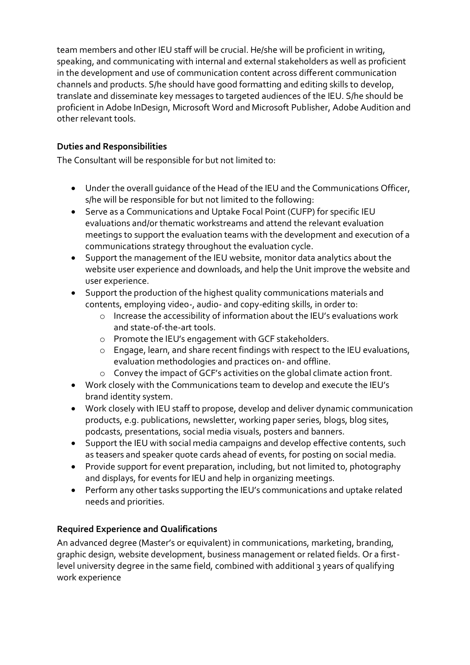team members and other IEU staff will be crucial. He/she will be proficient in writing, speaking, and communicating with internal and external stakeholders as well as proficient in the development and use of communication content across different communication channels and products. S/he should have good formatting and editing skills to develop, translate and disseminate key messages to targeted audiences of the IEU. S/he should be proficient in Adobe InDesign, Microsoft Word and Microsoft Publisher, Adobe Audition and other relevant tools.

## **Duties and Responsibilities**

The Consultant will be responsible for but not limited to:

- Under the overall guidance of the Head of the IEU and the Communications Officer, s/he will be responsible for but not limited to the following:
- Serve as a Communications and Uptake Focal Point (CUFP) for specific IEU evaluations and/or thematic workstreams and attend the relevant evaluation meetings to support the evaluation teams with the development and execution of a communications strategy throughout the evaluation cycle.
- Support the management of the IEU website, monitor data analytics about the website user experience and downloads, and help the Unit improve the website and user experience.
- Support the production of the highest quality communications materials and contents, employing video-, audio- and copy-editing skills, in order to:
	- o Increase the accessibility of information about the IEU's evaluations work and state-of-the-art tools.
	- o Promote the IEU's engagement with GCF stakeholders.
	- o Engage, learn, and share recent findings with respect to the IEU evaluations, evaluation methodologies and practices on- and offline.
	- o Convey the impact of GCF's activities on the global climate action front.
- Work closely with the Communications team to develop and execute the IEU's brand identity system.
- Work closely with IEU staff to propose, develop and deliver dynamic communication products, e.g. publications, newsletter, working paper series, blogs, blog sites, podcasts, presentations, social media visuals, posters and banners.
- Support the IEU with social media campaigns and develop effective contents, such as teasers and speaker quote cards ahead of events, for posting on social media.
- Provide support for event preparation, including, but not limited to, photography and displays, for events for IEU and help in organizing meetings.
- Perform any other tasks supporting the IEU's communications and uptake related needs and priorities.

### **Required Experience and Qualifications**

An advanced degree (Master's or equivalent) in communications, marketing, branding, graphic design, website development, business management or related fields. Or a firstlevel university degree in the same field, combined with additional 3 years of qualifying work experience